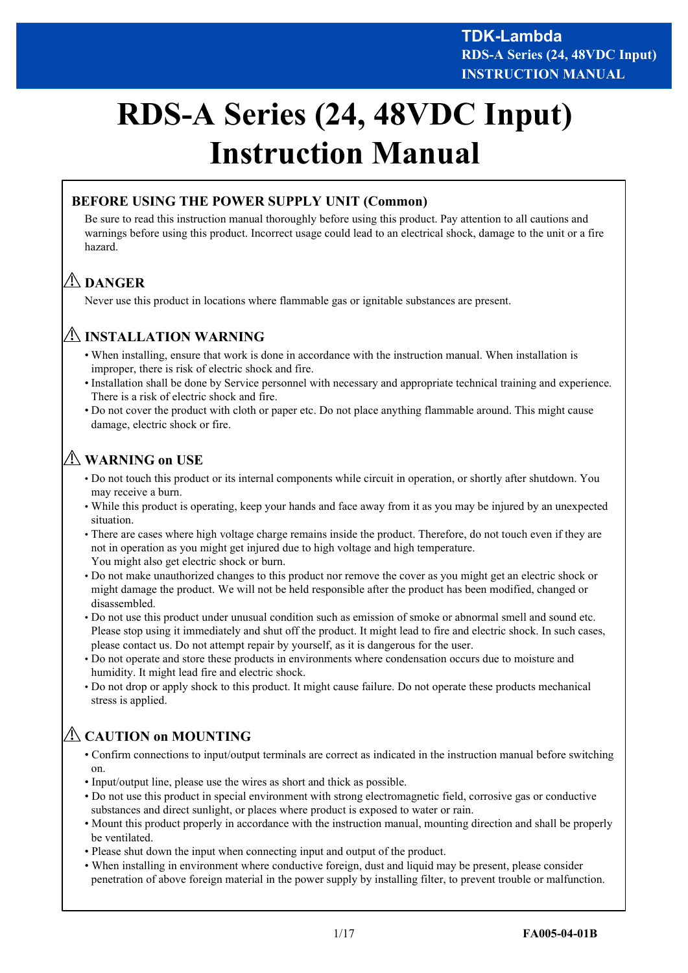# **RDS-A Series (24, 48VDC Input) Instruction Manual**

## **BEFORE USING THE POWER SUPPLY UNIT (Common)**

Be sure to read this instruction manual thoroughly before using this product. Pay attention to all cautions and warnings before using this product. Incorrect usage could lead to an electrical shock, damage to the unit or a fire hazard.

# **DANGER**

Never use this product in locations where flammable gas or ignitable substances are present.

## **INSTALLATION WARNING**

- When installing, ensure that work is done in accordance with the instruction manual. When installation is improper, there is risk of electric shock and fire.
- Installation shall be done by Service personnel with necessary and appropriate technical training and experience. There is a risk of electric shock and fire.
- Do not cover the product with cloth or paper etc. Do not place anything flammable around. This might cause damage, electric shock or fire.

# **WARNING on USE**

- Do not touch this product or its internal components while circuit in operation, or shortly after shutdown. You may receive a burn.
- While this product is operating, keep your hands and face away from it as you may be injured by an unexpected situation.
- There are cases where high voltage charge remains inside the product. Therefore, do not touch even if they are not in operation as you might get injured due to high voltage and high temperature. You might also get electric shock or burn.
- Do not make unauthorized changes to this product nor remove the cover as you might get an electric shock or might damage the product. We will not be held responsible after the product has been modified, changed or disassembled.
- Do not use this product under unusual condition such as emission of smoke or abnormal smell and sound etc. Please stop using it immediately and shut off the product. It might lead to fire and electric shock. In such cases, please contact us. Do not attempt repair by yourself, as it is dangerous for the user.
- Do not operate and store these products in environments where condensation occurs due to moisture and humidity. It might lead fire and electric shock.
- Do not drop or apply shock to this product. It might cause failure. Do not operate these products mechanical stress is applied.

# **CAUTION on MOUNTING**

- Confirm connections to input/output terminals are correct as indicated in the instruction manual before switching on.
- Input/output line, please use the wires as short and thick as possible.
- Do not use this product in special environment with strong electromagnetic field, corrosive gas or conductive substances and direct sunlight, or places where product is exposed to water or rain.
- Mount this product properly in accordance with the instruction manual, mounting direction and shall be properly be ventilated.
- Please shut down the input when connecting input and output of the product.
- When installing in environment where conductive foreign, dust and liquid may be present, please consider penetration of above foreign material in the power supply by installing filter, to prevent trouble or malfunction.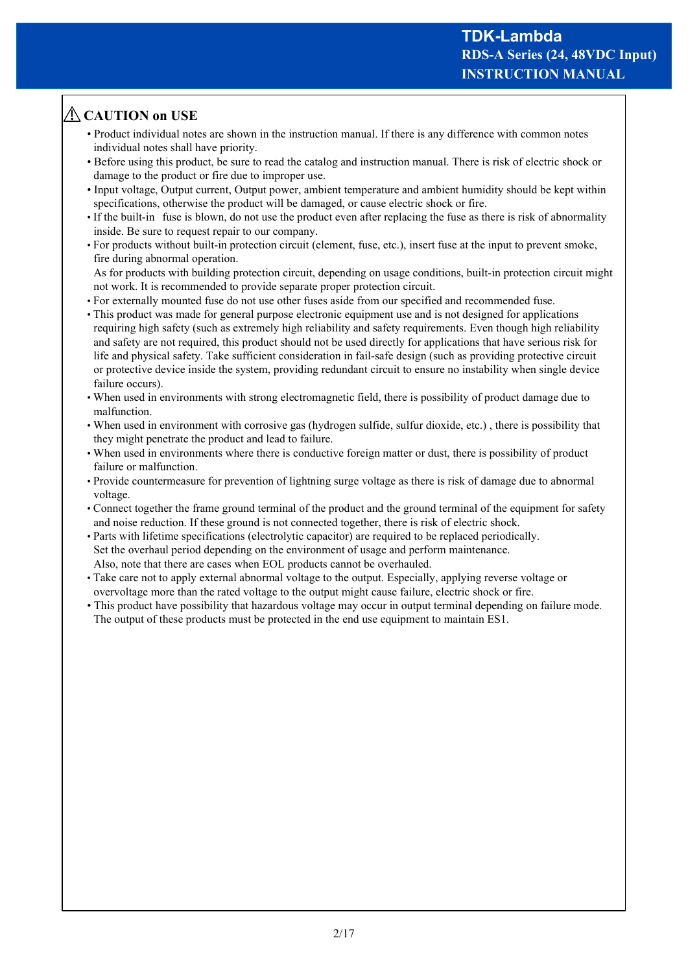# **CAUTION on USE**

- Product individual notes are shown in the instruction manual. If there is any difference with common notes individual notes shall have priority.
- Before using this product, be sure to read the catalog and instruction manual. There is risk of electric shock or damage to the product or fire due to improper use.
- Input voltage, Output current, Output power, ambient temperature and ambient humidity should be kept within specifications, otherwise the product will be damaged, or cause electric shock or fire.
- If the built-in fuse is blown, do not use the product even after replacing the fuse as there is risk of abnormality inside. Be sure to request repair to our company.
- For products without built-in protection circuit (element, fuse, etc.), insert fuse at the input to prevent smoke, fire during abnormal operation.

As for products with building protection circuit, depending on usage conditions, built-in protection circuit might not work. It is recommended to provide separate proper protection circuit.

- For externally mounted fuse do not use other fuses aside from our specified and recommended fuse.
- This product was made for general purpose electronic equipment use and is not designed for applications requiring high safety (such as extremely high reliability and safety requirements. Even though high reliability and safety are not required, this product should not be used directly for applications that have serious risk for life and physical safety. Take sufficient consideration in fail-safe design (such as providing protective circuit or protective device inside the system, providing redundant circuit to ensure no instability when single device failure occurs).
- When used in environments with strong electromagnetic field, there is possibility of product damage due to malfunction.
- When used in environment with corrosive gas (hydrogen sulfide, sulfur dioxide, etc.) , there is possibility that they might penetrate the product and lead to failure.
- When used in environments where there is conductive foreign matter or dust, there is possibility of product failure or malfunction.
- Provide countermeasure for prevention of lightning surge voltage as there is risk of damage due to abnormal voltage.
- Connect together the frame ground terminal of the product and the ground terminal of the equipment for safety and noise reduction. If these ground is not connected together, there is risk of electric shock.
- Parts with lifetime specifications (electrolytic capacitor) are required to be replaced periodically. Set the overhaul period depending on the environment of usage and perform maintenance. Also, note that there are cases when EOL products cannot be overhauled.
- Take care not to apply external abnormal voltage to the output. Especially, applying reverse voltage or overvoltage more than the rated voltage to the output might cause failure, electric shock or fire.
- This product have possibility that hazardous voltage may occur in output terminal depending on failure mode. The output of these products must be protected in the end use equipment to maintain ES1.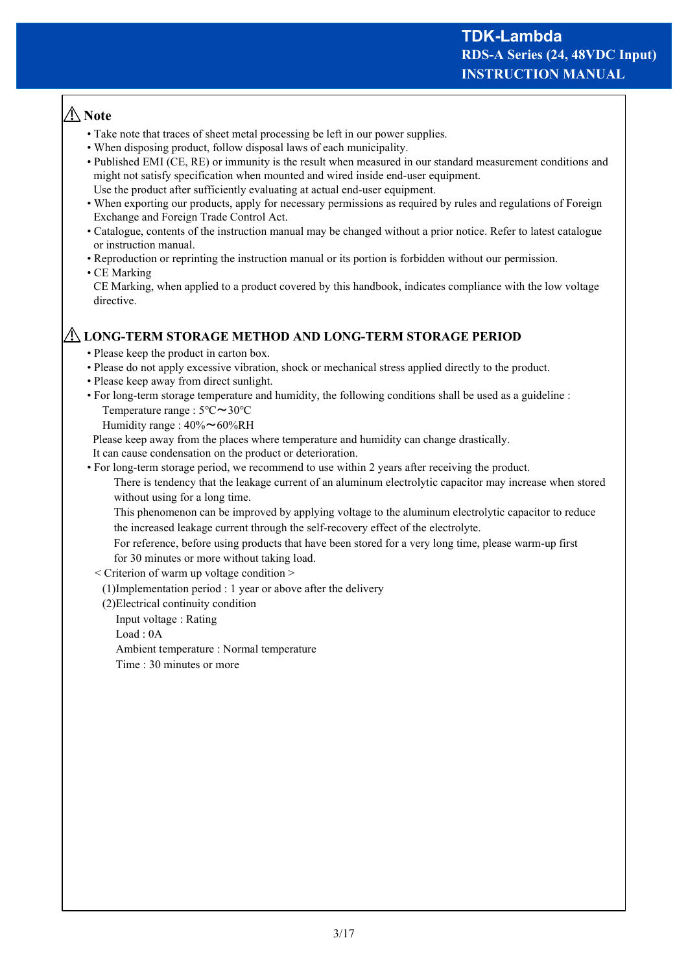# **Note**

- Take note that traces of sheet metal processing be left in our power supplies.
- When disposing product, follow disposal laws of each municipality.
- Published EMI (CE, RE) or immunity is the result when measured in our standard measurement conditions and might not satisfy specification when mounted and wired inside end-user equipment. Use the product after sufficiently evaluating at actual end-user equipment.
- When exporting our products, apply for necessary permissions as required by rules and regulations of Foreign Exchange and Foreign Trade Control Act.
- Catalogue, contents of the instruction manual may be changed without a prior notice. Refer to latest catalogue or instruction manual.
- Reproduction or reprinting the instruction manual or its portion is forbidden without our permission.

#### • CE Marking

CE Marking, when applied to a product covered by this handbook, indicates compliance with the low voltage directive.

## **LONG-TERM STORAGE METHOD AND LONG-TERM STORAGE PERIOD**

- Please keep the product in carton box.
- Please do not apply excessive vibration, shock or mechanical stress applied directly to the product.
- Please keep away from direct sunlight.
- For long-term storage temperature and humidity, the following conditions shall be used as a guideline : Temperature range : 5℃~30℃

Humidity range :  $40\% \sim 60\% RH$ 

Please keep away from the places where temperature and humidity can change drastically.

It can cause condensation on the product or deterioration.

• For long-term storage period, we recommend to use within 2 years after receiving the product.

 There is tendency that the leakage current of an aluminum electrolytic capacitor may increase when stored without using for a long time.

 This phenomenon can be improved by applying voltage to the aluminum electrolytic capacitor to reduce the increased leakage current through the self-recovery effect of the electrolyte.

 For reference, before using products that have been stored for a very long time, please warm-up first for 30 minutes or more without taking load.

- < Criterion of warm up voltage condition >
	- (1)Implementation period : 1 year or above after the delivery
	- (2)Electrical continuity condition
		- Input voltage : Rating

Load : 0A

Ambient temperature : Normal temperature

Time : 30 minutes or more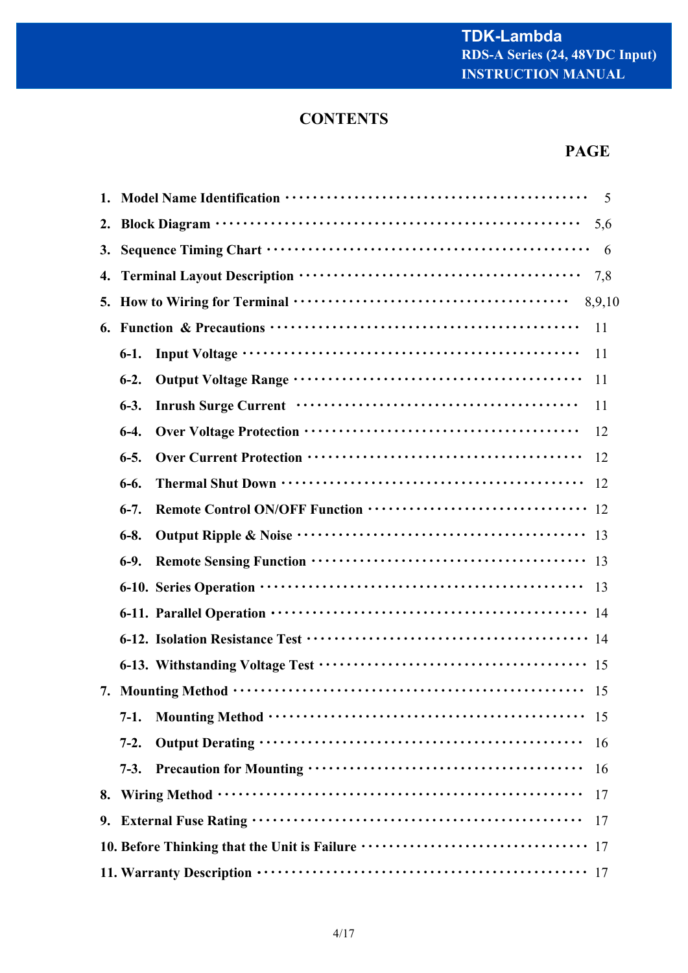# **CONTENTS**

# **PAGE**

|    |                                                                                    |                                                                                                                                                                                                                                      | 5   |
|----|------------------------------------------------------------------------------------|--------------------------------------------------------------------------------------------------------------------------------------------------------------------------------------------------------------------------------------|-----|
| 2. |                                                                                    |                                                                                                                                                                                                                                      | 5,6 |
| 3. |                                                                                    |                                                                                                                                                                                                                                      |     |
| 4. | 7,8                                                                                |                                                                                                                                                                                                                                      |     |
|    | 8,9,10                                                                             |                                                                                                                                                                                                                                      |     |
| 6. | 11                                                                                 |                                                                                                                                                                                                                                      |     |
|    | $6-1.$                                                                             | 11                                                                                                                                                                                                                                   |     |
|    | $6-2.$                                                                             | 11                                                                                                                                                                                                                                   |     |
|    | $6-3.$                                                                             | Inrush Surge Current (and the context of the surface of the surface of the surface of the surface of the surface of the surface of the surface of the surface of the surface of the surface of the surface of the surface of t<br>11 |     |
|    | $6-4.$                                                                             |                                                                                                                                                                                                                                      | 12  |
|    | $6 - 5.$                                                                           | 12                                                                                                                                                                                                                                   |     |
|    | $6-6.$                                                                             | <sup>12</sup>                                                                                                                                                                                                                        |     |
|    | $6-7.$                                                                             |                                                                                                                                                                                                                                      |     |
|    | $6 - 8.$                                                                           |                                                                                                                                                                                                                                      |     |
|    | $6-9.$                                                                             |                                                                                                                                                                                                                                      |     |
|    |                                                                                    | 13                                                                                                                                                                                                                                   |     |
|    |                                                                                    |                                                                                                                                                                                                                                      |     |
|    |                                                                                    |                                                                                                                                                                                                                                      |     |
|    |                                                                                    |                                                                                                                                                                                                                                      |     |
|    |                                                                                    | -15                                                                                                                                                                                                                                  |     |
|    | $7-1.$                                                                             | -15                                                                                                                                                                                                                                  |     |
|    | $7-2.$                                                                             |                                                                                                                                                                                                                                      | 16  |
|    | $7-3.$                                                                             |                                                                                                                                                                                                                                      | 16  |
| 8. |                                                                                    | 17                                                                                                                                                                                                                                   |     |
|    | 17                                                                                 |                                                                                                                                                                                                                                      |     |
|    | 10. Before Thinking that the Unit is Failure ·································· 17 |                                                                                                                                                                                                                                      |     |
|    |                                                                                    |                                                                                                                                                                                                                                      |     |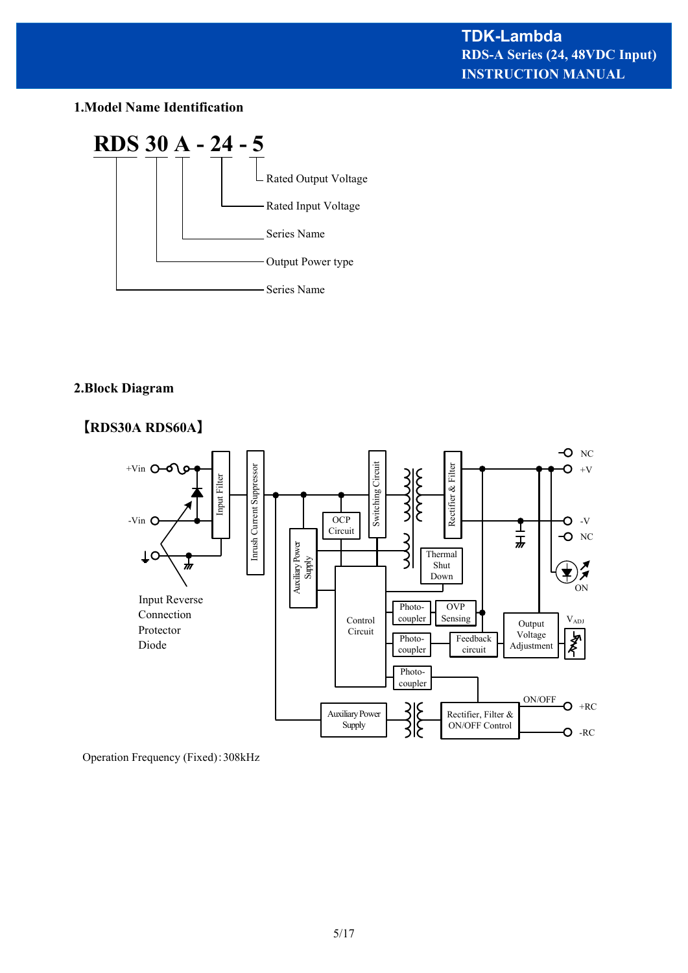## **1.Model Name Identification**



## **2.Block Diagram**



Operation Frequency (Fixed):308kHz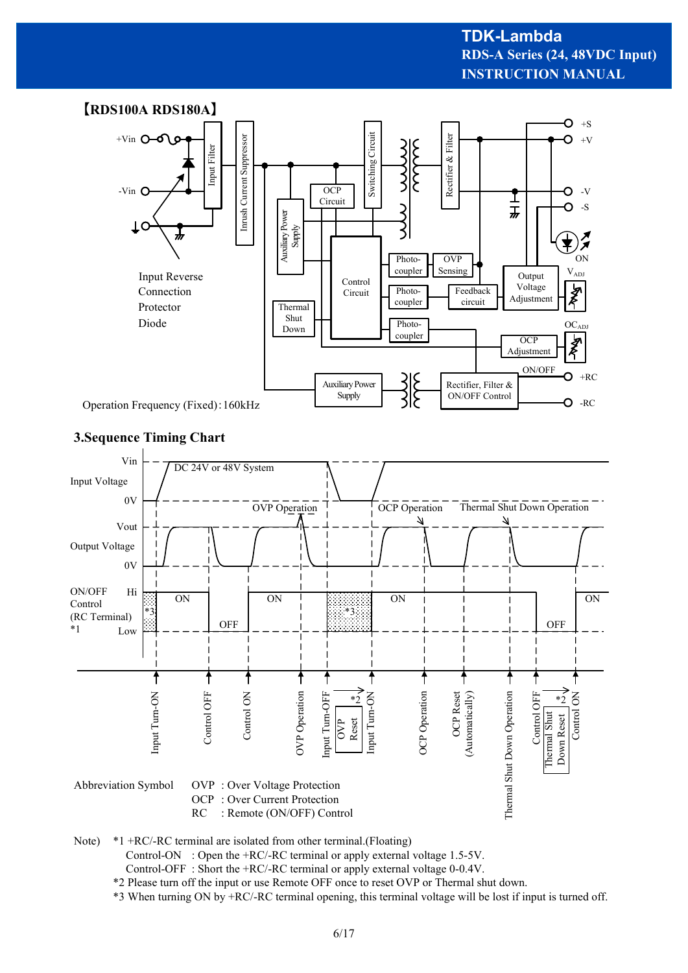## **INSTRUCTION MANUAL RDS-A Series (24, 48VDC Input) TDK-Lambda**



## **3.Sequence Timing Chart**



Note) \*1 +RC/-RC terminal are isolated from other terminal.(Floating)

Control-ON : Open the +RC/-RC terminal or apply external voltage 1.5-5V.

Control-OFF : Short the +RC/-RC terminal or apply external voltage 0-0.4V.

\*2 Please turn off the input or use Remote OFF once to reset OVP or Thermal shut down.

\*3 When turning ON by +RC/-RC terminal opening, this terminal voltage will be lost if input is turned off.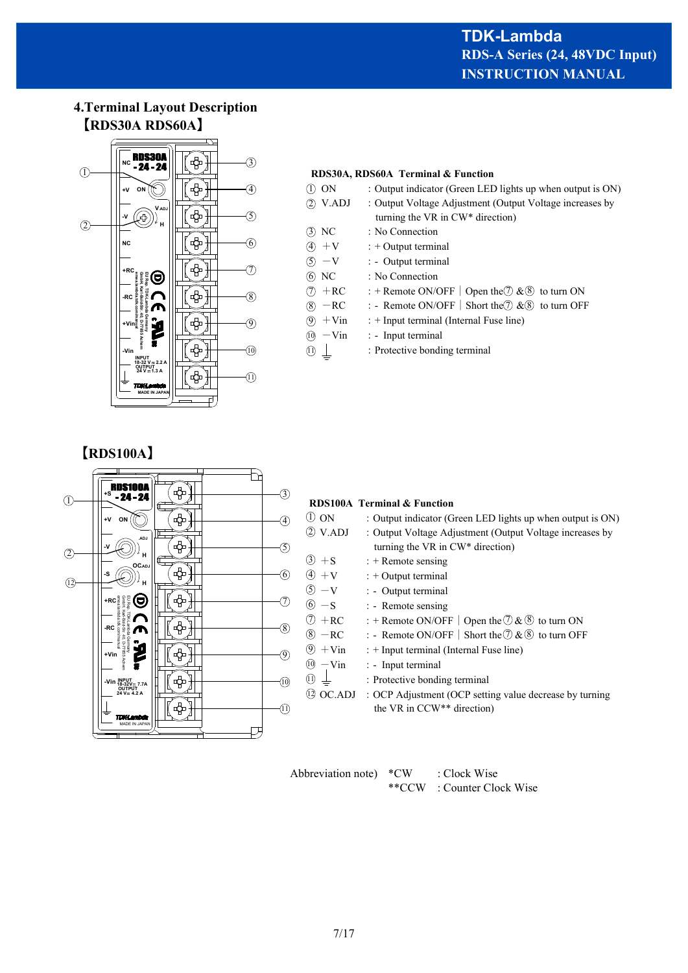## **4.Terminal Layout Description 【RDS30A RDS60A】**



# **RDS30A, RDS60A Terminal & Function**

| (T) ON             | : Output indicator (Green LED lights up when output is ON)            |  |  |
|--------------------|-----------------------------------------------------------------------|--|--|
| (2) V.ADJ          | : Output Voltage Adjustment (Output Voltage increases by              |  |  |
|                    | turning the VR in CW* direction)                                      |  |  |
| (3) NC             | : No Connection                                                       |  |  |
| $(4) + V$          | $: +$ Output terminal                                                 |  |  |
| $(5) -V$           | : - Output terminal                                                   |  |  |
| (6) NC             | : No Connection                                                       |  |  |
| $(7)$ +RC          | : + Remote ON/OFF   Open the $\mathcal{D}$ & $\mathcal{B}$ to turn ON |  |  |
| $(8)$ -RC          | : - Remote ON/OFF   Short the $\oslash \& \otimes$ to turn OFF        |  |  |
| $(9) + \text{Vir}$ | : + Input terminal (Internal Fuse line)                               |  |  |
| $(10)$ - Vin       | : - Input terminal                                                    |  |  |
| (11)               | : Protective bonding terminal                                         |  |  |
|                    |                                                                       |  |  |

**【RDS100A】**



Abbreviation note) \*CW : Clock Wise \*\*CCW : Counter Clock Wise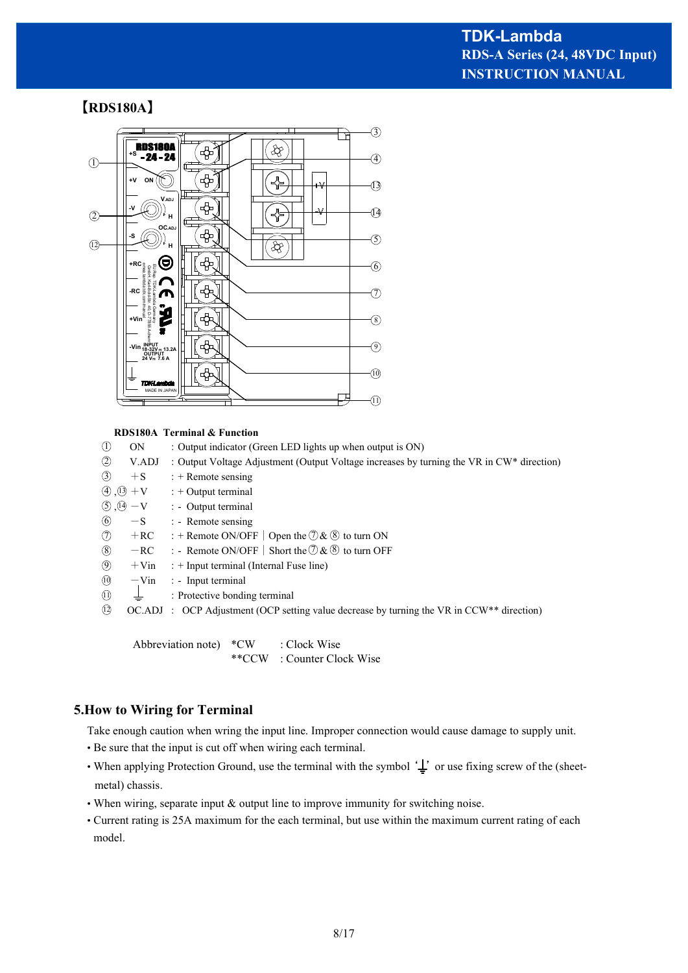# **【RDS180A】**



#### **RDS180A Terminal & Function**

| $^{\circledR}$<br>V.ADJ<br>: Output Voltage Adjustment (Output Voltage increases by turning the VR in CW* direction)<br>$\circled{3}$<br>$+S$<br>$: +$ Remote sensing |  |
|-----------------------------------------------------------------------------------------------------------------------------------------------------------------------|--|
|                                                                                                                                                                       |  |
|                                                                                                                                                                       |  |
| $\textcircled{4}$ , $\textcircled{3}$ + V<br>$: +$ Output terminal                                                                                                    |  |
| $\textcircled{3}$ , $\textcircled{4}$ - V : - Output terminal                                                                                                         |  |
| $\circledcirc$<br>$-S$ : - Remote sensing                                                                                                                             |  |
| $\circledD$<br>: + Remote ON/OFF   Open the $\mathcal{D} \& \mathcal{B}$ to turn ON<br>$+RC$                                                                          |  |
| $\circledS$<br>: - Remote ON/OFF   Short the $\Im \& \circledS$ to turn OFF<br>$-RC$                                                                                  |  |
| $\circled{9}$<br>$+V$ in<br>$:$ + Input terminal (Internal Fuse line)                                                                                                 |  |
| $\circled{0}$<br>$-Vin$ : - Input terminal                                                                                                                            |  |
| $\circled{1}$<br>: Protective bonding terminal                                                                                                                        |  |
| $\Omega$<br>$OC. ADJ$ : $OCP$ Adjustment (OCP setting value decrease by turning the VR in $CCW^{**}$ direction)                                                       |  |

Abbreviation note) \*CW : Clock Wise \*\*CCW : Counter Clock Wise

### **5.How to Wiring for Terminal**

Take enough caution when wring the input line. Improper connection would cause damage to supply unit.

- Be sure that the input is cut off when wiring each terminal.
- When applying Protection Ground, use the terminal with the symbol  $\perp$  or use fixing screw of the (sheetmetal) chassis.
- When wiring, separate input & output line to improve immunity for switching noise.
- Current rating is 25A maximum for the each terminal, but use within the maximum current rating of each model.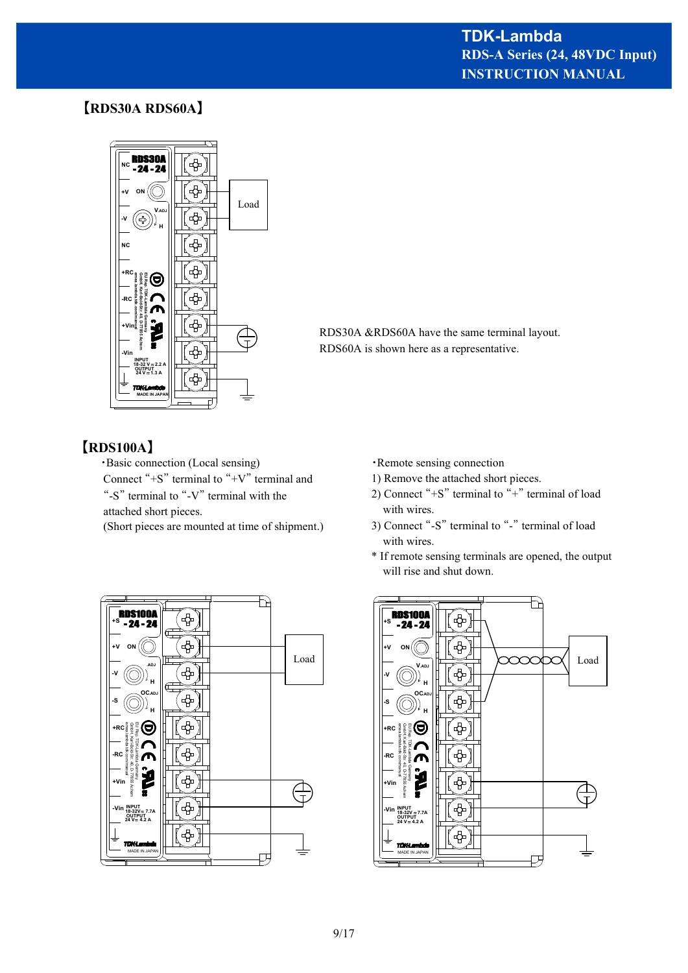# **INSTRUCTION MANUAL RDS-A Series (24, 48VDC Input) TDK-Lambda**

# **【RDS30A RDS60A】**



RDS30A &RDS60A have the same terminal layout. RDS60A is shown here as a representative.

## **【RDS100A】**

・Basic connection (Local sensing) Connect "+S" terminal to "+V" terminal and "-S" terminal to "-V" terminal with the attached short pieces.

(Short pieces are mounted at time of shipment.)



- ・Remote sensing connection
- 1) Remove the attached short pieces.
- 2) Connect "+S" terminal to "+" terminal of load with wires.
- 3) Connect "-S" terminal to "-" terminal of load with wires.
- \* If remote sensing terminals are opened, the output will rise and shut down.

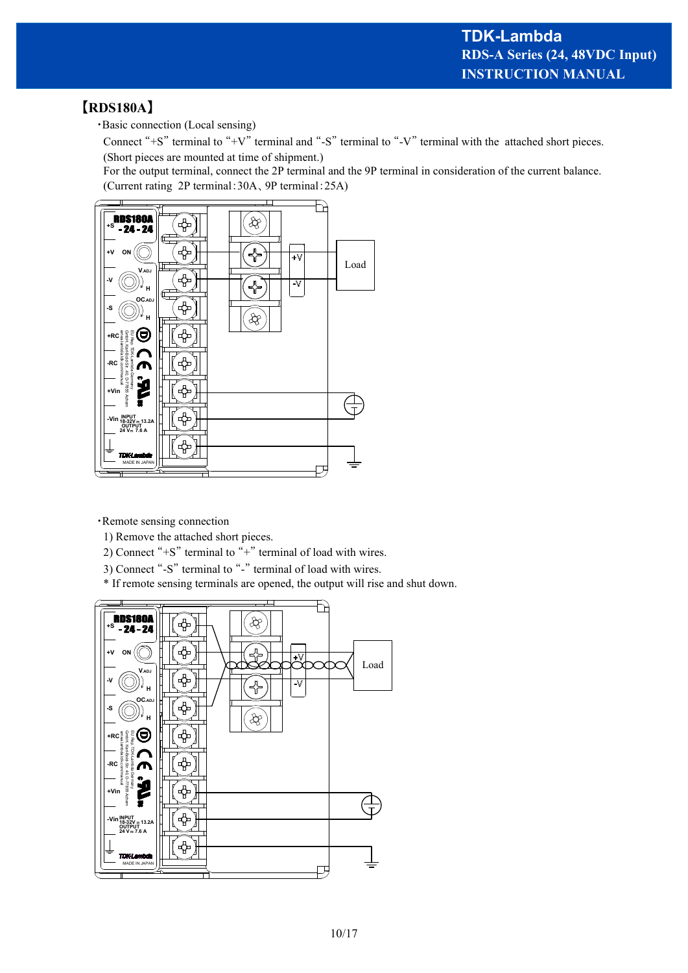## **【RDS180A】**

・Basic connection (Local sensing)

Connect "+S" terminal to "+V" terminal and "-S" terminal to "-V" terminal with the attached short pieces. (Short pieces are mounted at time of shipment.)

For the output terminal, connect the 2P terminal and the 9P terminal in consideration of the current balance. (Current rating 2P terminal:30A、9P terminal:25A)



・Remote sensing connection

- 1) Remove the attached short pieces.
- 2) Connect " $+S$ " terminal to " $+$ " terminal of load with wires.
- 3) Connect "-S" terminal to "-" terminal of load with wires.
- \* If remote sensing terminals are opened, the output will rise and shut down.

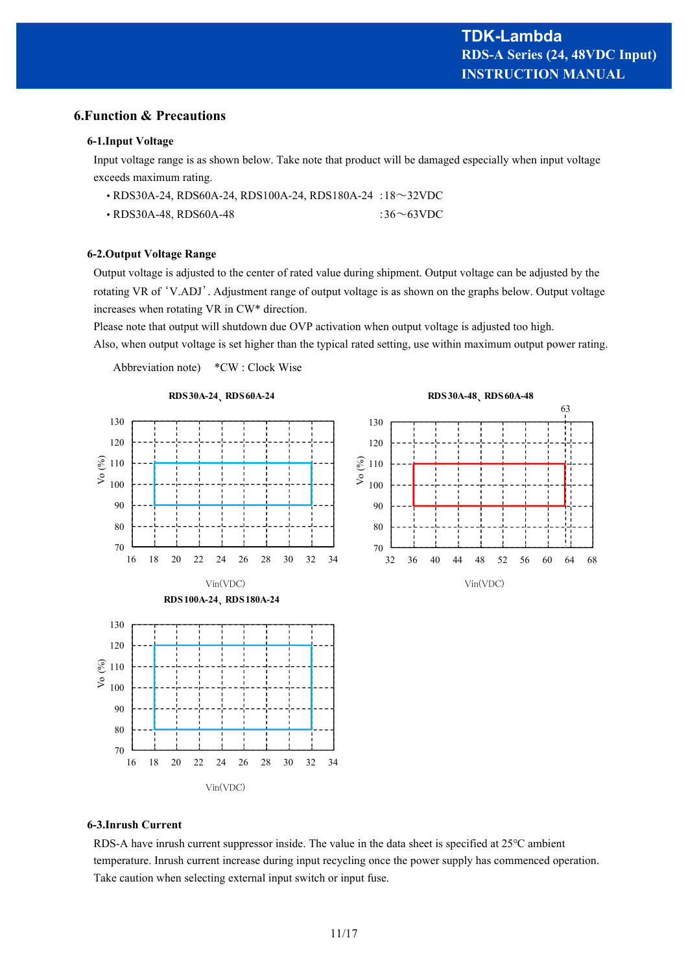#### **6.Function & Precautions**

#### **6-1.Input Voltage**

Input voltage range is as shown below. Take note that product will be damaged especially when input voltage exceeds maximum rating.

| • RDS30A-24, RDS60A-24, RDS100A-24, RDS180A-24 : 18~32VDC |                  |
|-----------------------------------------------------------|------------------|
| $\cdot$ RDS30A-48, RDS60A-48                              | :36 $\sim$ 63VDC |

#### **6-2.Output Voltage Range**

Output voltage is adjusted to the center of rated value during shipment. Output voltage can be adjusted by the rotating VR of 'V.ADJ'. Adjustment range of output voltage is as shown on the graphs below. Output voltage increases when rotating VR in CW\* direction.

Please note that output will shutdown due OVP activation when output voltage is adjusted too high.

Also, when output voltage is set higher than the typical rated setting, use within maximum output power rating.

Abbreviation note) \*CW : Clock Wise



# **6-3.Inrush Current**

RDS-A have inrush current suppressor inside. The value in the data sheet is specified at 25℃ ambient temperature. Inrush current increase during input recycling once the power supply has commenced operation. Take caution when selecting external input switch or input fuse.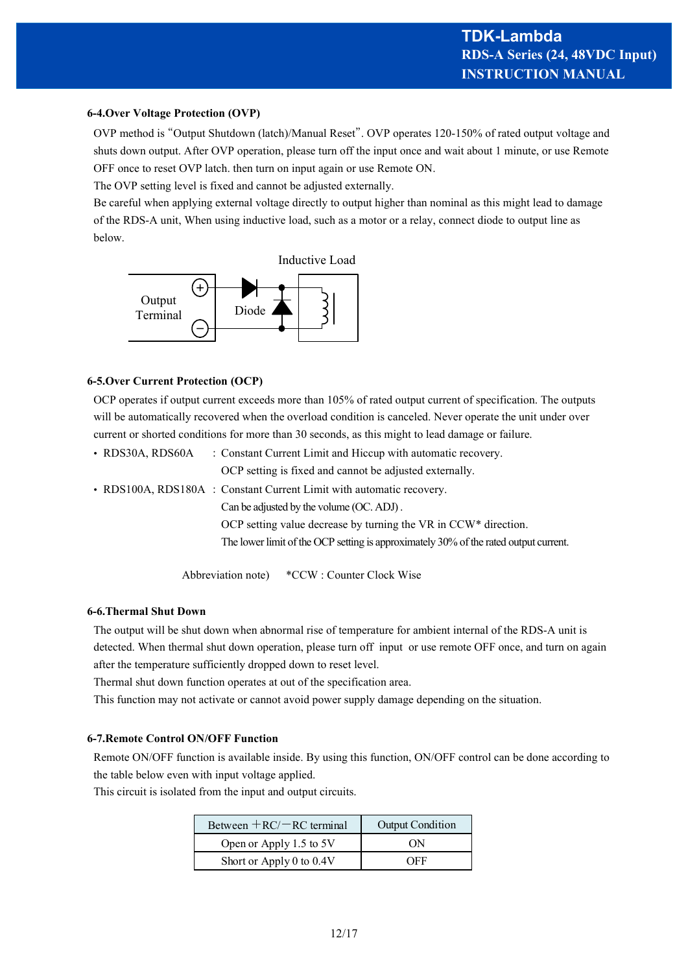#### **6-4.Over Voltage Protection (OVP)**

OVP method is "Output Shutdown (latch)/Manual Reset". OVP operates 120-150% of rated output voltage and shuts down output. After OVP operation, please turn off the input once and wait about 1 minute, or use Remote OFF once to reset OVP latch. then turn on input again or use Remote ON.

The OVP setting level is fixed and cannot be adjusted externally.

Be careful when applying external voltage directly to output higher than nominal as this might lead to damage of the RDS-A unit, When using inductive load, such as a motor or a relay, connect diode to output line as below.



#### **6-5.Over Current Protection (OCP)**

OCP operates if output current exceeds more than 105% of rated output current of specification. The outputs will be automatically recovered when the overload condition is canceled. Never operate the unit under over current or shorted conditions for more than 30 seconds, as this might to lead damage or failure.

• RDS30A, RDS60A : Constant Current Limit and Hiccup with automatic recovery. OCP setting is fixed and cannot be adjusted externally. • RDS100A, RDS180A : Constant Current Limit with automatic recovery.

Can be adjusted by the volume (OC. ADJ) .

OCP setting value decrease by turning the VR in CCW\* direction.

The lower limit of the OCP setting is approximately 30% of the rated output current.

Abbreviation note) \*CCW : Counter Clock Wise

#### **6-6.Thermal Shut Down**

The output will be shut down when abnormal rise of temperature for ambient internal of the RDS-A unit is detected. When thermal shut down operation, please turn off input or use remote OFF once, and turn on again after the temperature sufficiently dropped down to reset level.

Thermal shut down function operates at out of the specification area.

This function may not activate or cannot avoid power supply damage depending on the situation.

#### **6-7.Remote Control ON/OFF Function**

Remote ON/OFF function is available inside. By using this function, ON/OFF control can be done according to the table below even with input voltage applied.

This circuit is isolated from the input and output circuits.

| Between $+RC$ – RC terminal | Output Condition |  |
|-----------------------------|------------------|--|
| Open or Apply 1.5 to 5V     | ΩN               |  |
| Short or Apply 0 to 0.4V    | OEE              |  |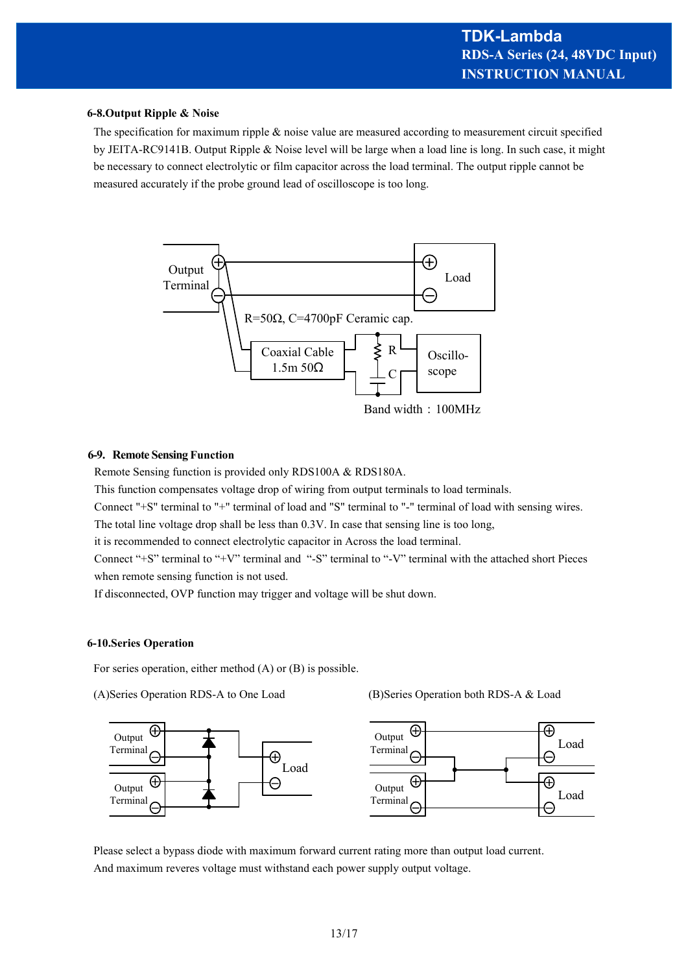#### **6-8.Output Ripple & Noise**

The specification for maximum ripple & noise value are measured according to measurement circuit specified by JEITA-RC9141B. Output Ripple & Noise level will be large when a load line is long. In such case, it might be necessary to connect electrolytic or film capacitor across the load terminal. The output ripple cannot be measured accurately if the probe ground lead of oscilloscope is too long.



#### **6-9. Remote Sensing Function**

Remote Sensing function is provided only RDS100A & RDS180A.

This function compensates voltage drop of wiring from output terminals to load terminals.

Connect "+S" terminal to "+" terminal of load and "S" terminal to "-" terminal of load with sensing wires.

The total line voltage drop shall be less than 0.3V. In case that sensing line is too long,

it is recommended to connect electrolytic capacitor in Across the load terminal.

Connect "+S" terminal to "+V" terminal and "-S" terminal to "-V" terminal with the attached short Pieces when remote sensing function is not used.

If disconnected, OVP function may trigger and voltage will be shut down.

#### **6-10.Series Operation**

For series operation, either method (A) or (B) is possible.



(A)Series Operation RDS-A to One Load (B)Series Operation both RDS-A & Load



Please select a bypass diode with maximum forward current rating more than output load current. And maximum reveres voltage must withstand each power supply output voltage.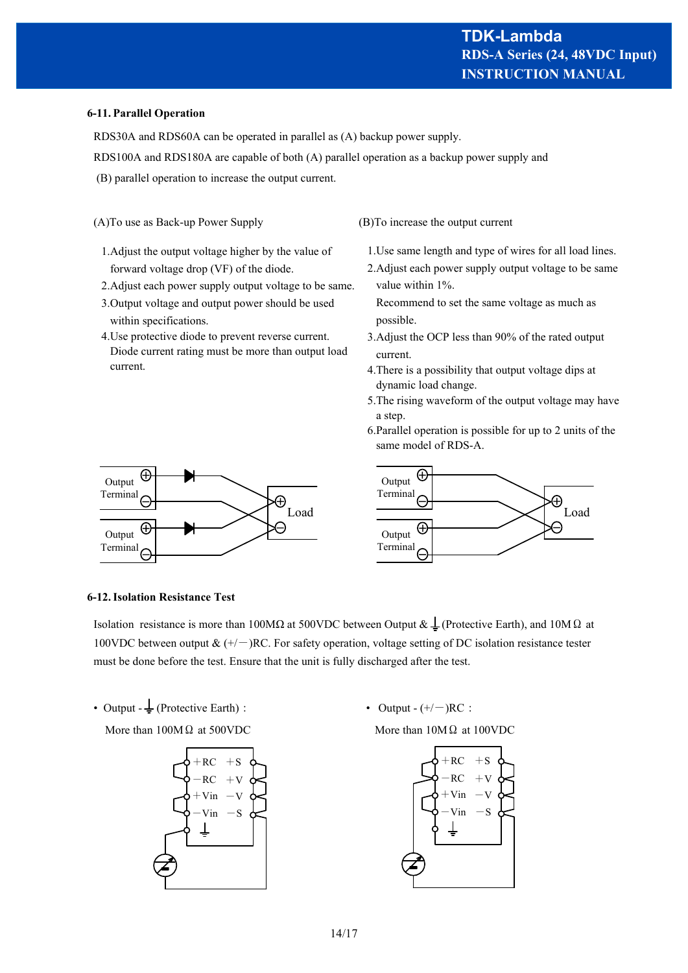#### **6-11. Parallel Operation**

RDS30A and RDS60A can be operated in parallel as (A) backup power supply.

RDS100A and RDS180A are capable of both (A) parallel operation as a backup power supply and

- (B) parallel operation to increase the output current.
- (A)To use as Back-up Power Supply (B)To increase the output current
	- 1.Adjust the output voltage higher by the value of forward voltage drop (VF) of the diode.
	- 2.Adjust each power supply output voltage to be same.
	- 3.Output voltage and output power should be used within specifications.
	- 4.Use protective diode to prevent reverse current. Diode current rating must be more than output load current.

- 1.Use same length and type of wires for all load lines.
- 2.Adjust each power supply output voltage to be same value within 1%.

 Recommend to set the same voltage as much as possible.

- 3.Adjust the OCP less than 90% of the rated output current.
- 4.There is a possibility that output voltage dips at dynamic load change.
- 5.The rising waveform of the output voltage may have a step.
- 6.Parallel operation is possible for up to 2 units of the same model of RDS-A.





#### **6-12. Isolation Resistance Test**

Isolation resistance is more than 100MΩ at 500VDC between Output &  $\perp$  (Protective Earth), and 10MΩ at 100VDC between output &  $(+/-)$ RC. For safety operation, voltage setting of DC isolation resistance tester must be done before the test. Ensure that the unit is fully discharged after the test.

• Output  $-\frac{1}{2}$  (Protective Earth): <br> 0utput - (+/-)RC:

More than  $100M\Omega$  at 500VDC More than  $10M\Omega$  at 100VDC



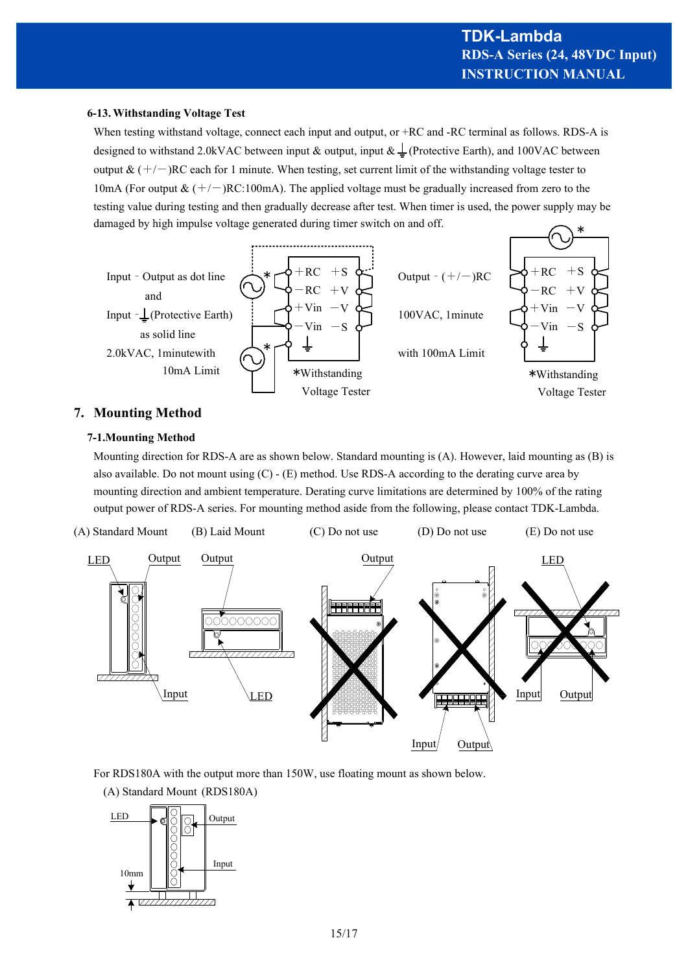#### **6-13. Withstanding Voltage Test**

When testing withstand voltage, connect each input and output, or +RC and -RC terminal as follows. RDS-A is designed to withstand 2.0kVAC between input & output, input  $\& \perp$  (Protective Earth), and 100VAC between output  $\& (+/-)$ RC each for 1 minute. When testing, set current limit of the withstanding voltage tester to 10mA (For output  $& (+/-)$ RC:100mA). The applied voltage must be gradually increased from zero to the testing value during testing and then gradually decrease after test. When timer is used, the power supply may be damaged by high impulse voltage generated during timer switch on and off. \*



## **7. Mounting Method**

#### **7-1.Mounting Method**

Mounting direction for RDS-A are as shown below. Standard mounting is (A). However, laid mounting as (B) is also available. Do not mount using (C) - (E) method. Use RDS-A according to the derating curve area by mounting direction and ambient temperature. Derating curve limitations are determined by 100% of the rating output power of RDS-A series. For mounting method aside from the following, please contact TDK-Lambda.



For RDS180A with the output more than 150W, use floating mount as shown below.

(A) Standard Mount (RDS180A)

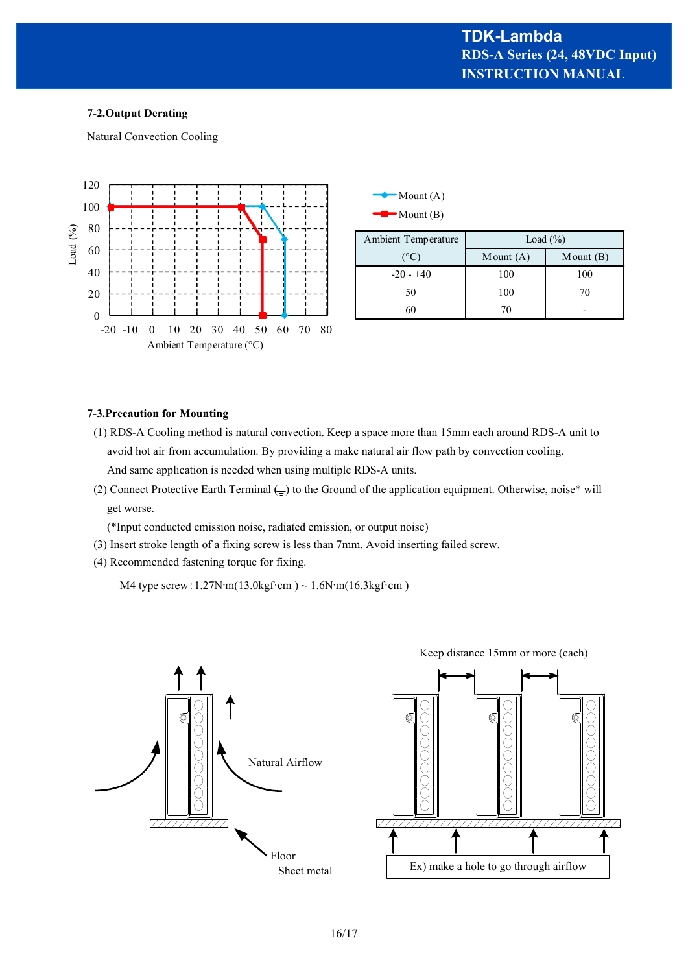#### **7-2.Output Derating**

Natural Convection Cooling



| $\blacksquare$ Mount (A) |
|--------------------------|
| $\blacksquare$ Mount (B) |

| Ambient Temperature | Load $(\% )$ |                |
|---------------------|--------------|----------------|
| (°C)                | Mount $(A)$  | $M$ ount $(B)$ |
| $-20 - 40$          | 100          | 100            |
| 50                  | 100          | 70             |
| 60                  | 70           |                |

#### **7-3.Precaution for Mounting**

- (1) RDS-A Cooling method is natural convection. Keep a space more than 15mm each around RDS-A unit to avoid hot air from accumulation. By providing a make natural air flow path by convection cooling. And same application is needed when using multiple RDS-A units.
- (2) Connect Protective Earth Terminal  $($   $\perp$ ) to the Ground of the application equipment. Otherwise, noise\* will get worse.

(\*Input conducted emission noise, radiated emission, or output noise)

- (3) Insert stroke length of a fixing screw is less than 7mm. Avoid inserting failed screw.
- (4) Recommended fastening torque for fixing.

M4 type screw:1.27N·m(13.0kgf·cm ) ~ 1.6N·m(16.3kgf·cm )